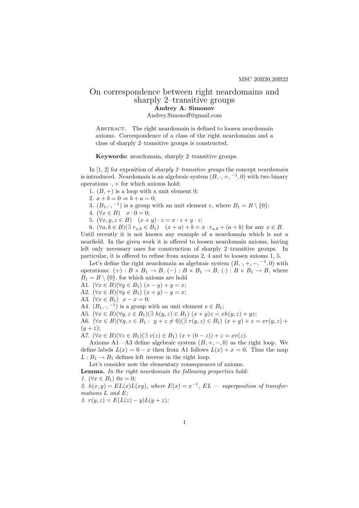## On correspondence between right neardomains and sharply 2–transitive groups Andrey A. Simonov

Andrey.Simonoff@gmail.com

ABSTRACT. The right neardomain is defined to loosen neardomain axioms. Correspondence of a class of the right neardomains and a class of sharply 2–transitive groups is constructed.

Keywords: neardomain, sharply 2–transitive groups.

In  $[1, 2]$  for exposition of *sharply 2-transitive groups* the concept *neardomain* is introduced. Neardomain is an algebraic system  $(B, \cdot, +, -1, 0)$  with two binary operations  $\cdot$ , + for which axioms hold:

1.  $(B,+)$  is a loop with a unit element 0;

- 2.  $a + b = 0 \Rightarrow b + a = 0$ ;
- 3.  $(B_1, \cdot, -1)$  is a group with an unit element e, where  $B_1 = B \setminus \{0\};$
- 4.  $(\forall x \in B)$   $x \cdot 0 = 0$ ;
- 5.  $(\forall x, y, z \in B)$   $(x + y) \cdot z = x \cdot z + y \cdot z;$

6.  $(\forall a, b \in B)(\exists r_{a,b} \in B_1)$   $(x+a)+b=x \cdot r_{a,b} + (a+b)$  for any  $x \in B$ . Until recently it is not known any example of a neardomain which is not a nearfield. In the given work it is offered to loosen neardomain axioms, having left only necessary ones for construction of sharply 2–transitive groups. In particular, it is offered to refuse from axioms 2, 4 and to loosen axioms 1, 5.

Let's define the right neardomain as algebraic system  $(B, \cdot, +, -, -1, 0)$  with operations:  $(+) : B \times B_1 \to B$ ,  $(-) : B \times B_1 \to B$ ,  $(\cdot) : B \times B_1 \to B$ , where  $B_1 = B \setminus \{0\}$ , for which axioms are hold

- A1.  $(\forall x \in B)(\forall y \in B_1)$   $(x y) + y = x$ ;
- A2.  $(\forall x \in B)(\forall y \in B_1)$   $(x + y) y = x;$
- A3.  $(\forall x \in B_1)$   $x x = 0;$
- A4.  $(B_1, \cdot, -1)$  is a group with an unit element  $e \in B_1$ ;

A5.  $(\forall x \in B)(\forall y, z \in B_1)(\exists h(y, z) \in B_1)(x + y)z = xh(y, z) + yz;$ 

A6.  $(\forall x \in B)(\forall y, z \in B_1 : y + z \neq 0) (\exists r(y, z) \in B_1) (x + y) + z = xr(y, z) +$  $(y + z);$ 

A7.  $(\forall x \in B)(\forall z \in B_1)(\exists v(z) \in B_1)(x + (0 - z)) + z = xv(z).$ 

Axioms A1—A3 define algebraic system  $(B, +, -, 0)$  as the right loop. We define labels  $L(x) = 0 - x$  then from A1 follows  $L(x) + x = 0$ . Thus the map  $L: B_1 \to B_1$  defines left inverse in the right loop.

Let's consider now the elementary consequences of axioms.

Lemma. In the right neardomain the following properties hold:

1.  $(\forall x \in B_1)$   $0x = 0$ ;

2.  $h(x, y) = EL(x)L(xy)$ , where  $E(x) = x^{-1}$ ,  $EL$  – superposition of transformations L and E;

3.  $r(y, z) = E(L(z) - y)L(y + z);$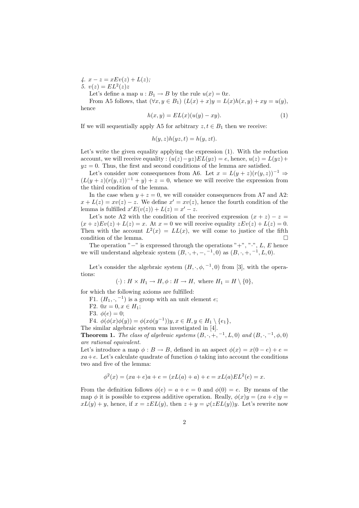4.  $x - z = xEv(z) + L(z);$ 5.  $v(z) = EL^2(z)z$ 

Let's define a map  $u : B_1 \to B$  by the rule  $u(x) = 0x$ .

From A5 follows, that  $(\forall x, y \in B_1)$   $(L(x) + x)y = L(x)h(x, y) + xy = u(y)$ , hence

$$
h(x,y) = EL(x)(u(y) - xy). \tag{1}
$$

If we will sequentially apply A5 for arbitrary  $z, t \in B_1$  then we receive:

$$
h(y, z)h(yz, t) = h(y, zt).
$$

Let's write the given equality applying the expression (1). With the reduction account, we will receive equality :  $(u(z)-yz)EL(yz) = e$ , hence,  $u(z) = L(yz) +$  $yz = 0$ . Thus, the first and second conditions of the lemma are satisfied.

Let's consider now consequences from A6. Let  $x = L(y + z)(r(y, z))^{-1} \Rightarrow$  $(L(y + z)(r(y, z))^{-1} + y) + z = 0$ , whence we will receive the expression from the third condition of the lemma.

In the case when  $y + z = 0$ , we will consider consequences from A7 and A2:  $x + L(z) = xv(z) - z$ . We define  $x' = xv(z)$ , hence the fourth condition of the lemma is fulfilled  $x'E(v(z)) + L(z) = x' - z$ .

Let's note A2 with the condition of the received expression  $(x + z) - z =$  $(x + z)Ev(z) + L(z) = x$ . At  $x = 0$  we will receive equality  $zEv(z) + L(z) = 0$ . Then with the account  $L^2(x) = LL(x)$ , we will come to justice of the fifth condition of the lemma.  $\Box$ 

The operation " $-$ " is expressed through the operations " $+$ ", " $\cdot$ ", L, E hence we will understand algebraic system  $(B, \cdot, +, -, -1, 0)$  as  $(B, \cdot, +, -1, L, 0)$ .

Let's consider the algebraic system  $(H, \cdot, \phi, \neg A, 0)$  from [3], with the operations:

$$
(\cdot): H \times H_1 \to H, \phi: H \to H, \text{ where } H_1 = H \setminus \{0\},\
$$

for which the following axioms are fulfilled:

F1.  $(H_1, \cdot, -1)$  is a group with an unit element e;

- F2.  $0x = 0, x \in H_1$ ;
- F3.  $\phi(e) = 0;$

F4.  $\phi(\phi(x)\phi(y)) = \phi(x\phi(y^{-1}))y, x \in H, y \in H_1 \setminus \{e_1\},\$ 

The similar algebraic system was investigated in [4].

**Theorem 1.** The class of algebraic systems  $(B, \cdot, +, -1, L, 0)$  and  $(B, \cdot, -1, \phi, 0)$ are rational equivalent.

Let's introduce a map  $\phi : B \to B$ , defined in an aspect  $\phi(x) = x(0 - e) + e =$  $xa+e$ . Let's calculate quadrate of function  $\phi$  taking into account the conditions two and five of the lemma:

$$
\phi^{2}(x) = (xa + e)a + e = (xL(a) + a) + e = xL(a)EL^{2}(e) = x.
$$

From the definition follows  $\phi(e) = a + e = 0$  and  $\phi(0) = e$ . By means of the map  $\phi$  it is possible to express additive operation. Really,  $\phi(x)y = (xa + e)y$  $xL(y) + y$ , hence, if  $x = zEL(y)$ , then  $z + y = \varphi(zEL(y))y$ . Let's rewrite now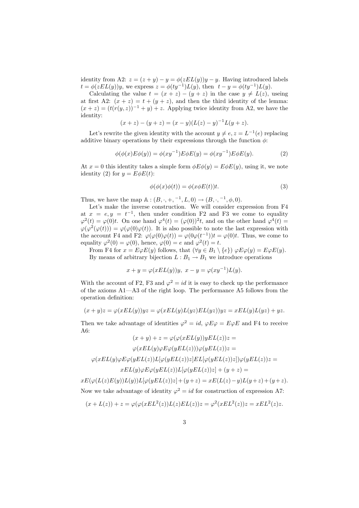identity from A2:  $z = (z + y) - y = \phi(zEL(y))y - y$ . Having introduced labels  $t = \phi(zEL(y))y$ , we express  $z = \phi(ty^{-1})L(y)$ , then  $t - y = \phi(ty^{-1})L(y)$ .

Calculating the value  $t = (x + z) - (y + z)$  in the case  $y \neq L(z)$ , useing at first A2:  $(x + z) = t + (y + z)$ , and then the third identity of the lemma:  $(x + z) = (t(r(y, z))^{-1} + y) + z$ . Applying twice identity from A2, we have the identity:

$$
(x + z) - (y + z) = (x - y)(L(z) - y)^{-1}L(y + z).
$$

Let's rewrite the given identity with the account  $y \neq e, z = L^{-1}(e)$  replacing additive binary operations by their expressions through the function  $\phi$ :

$$
\phi(\phi(x)E\phi(y)) = \phi(xy^{-1})E\phi E(y) = \phi(xy^{-1})E\phi E(y).
$$
\n(2)

At  $x = 0$  this identity takes a simple form  $\phi E \phi(y) = E \phi E(y)$ , using it, we note identity (2) for  $y = E\phi E(t)$ :

$$
\phi(\phi(x)\phi(t)) = \phi(x\phi E(t))t.
$$
\n(3)

Thus, we have the map  $\mathbb{A} : (B, \cdot, +, -1, L, 0) \to (B, \cdot, -1, \phi, 0).$ 

Let's make the inverse construction. We will consider expression from F4 at  $x = e, y = t^{-1}$ , then under condition F2 and F3 we come to equality  $\varphi^2(t) = \varphi(0)t$ . On one hand  $\varphi^4(t) = (\varphi(0))^2 t$ , and on the other hand  $\varphi^4(t) =$  $\varphi(\varphi^2(\varphi(t))) = \varphi(\varphi(0)\varphi(t))$ . It is also possible to note the last expression with the account F4 and F2:  $\varphi(\varphi(0)\varphi(t)) = \varphi(0\varphi(t^{-1}))t = \varphi(0)t$ . Thus, we come to equality  $\varphi^2(0) = \varphi(0)$ , hence,  $\varphi(0) = e$  and  $\varphi^2(t) = t$ .

From F4 for  $x = E\varphi E(y)$  follows, that  $(\forall y \in B_1 \setminus \{e\}) \varphi E\varphi(y) = E\varphi E(y)$ . By means of arbitrary bijection  $L : B_1 \to B_1$  we introduce operations

$$
x + y = \varphi(xEL(y))y, \ x - y = \varphi(xy^{-1})L(y).
$$

With the account of F2, F3 and  $\varphi^2 = id$  it is easy to check up the performance of the axioms A1—A3 of the right loop. The performance A5 follows from the operation definition:

$$
(x+y)z = \varphi(xEL(y))yz = \varphi(xEL(y)L(yz)EL(yz))yz = xEL(y)L(yz) + yz.
$$

Then we take advantage of identities  $\varphi^2 = id$ ,  $\varphi E \varphi = E \varphi E$  and F4 to receive A6:

$$
(x + y) + z = \varphi(\varphi(xEL(y))yEL(z))z =
$$

$$
\varphi(xEL(y)\varphi E\varphi(yEL(z)))\varphi(yEL(z))z =
$$

$$
\varphi(xEL(y)\varphi E\varphi(yEL(z))L[\varphi(yEL(z))z]EL[\varphi(yEL(z))z])\varphi(yEL(z))z =
$$

$$
xEL(y)\varphi E\varphi(yEL(z))L[\varphi(yEL(z))z] + (y + z) =
$$

 $xE(\varphi(L(z)E(y))L(y))L[\varphi(yEL(z))z]+ (y+z) = xE(L(z)-y)L(y+z)+(y+z).$ Now we take advantage of identity  $\varphi^2 = id$  for construction of expression A7:

$$
(x+L(z)) + z = \varphi(\varphi(xEL^2(z))L(z)EL(z))z = \varphi^2(xEL^2(z))z = xEL^2(z)z.
$$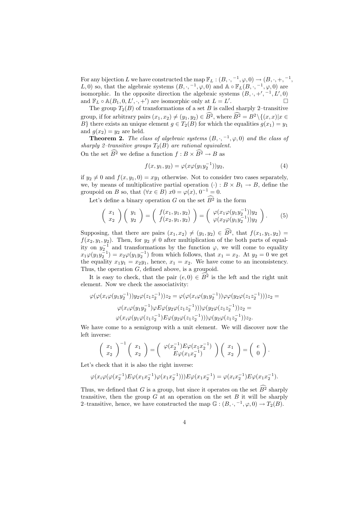For any bijection L we have constructed the map  $\mathbb{F}_L : (B, \cdot, -1, \varphi, 0) \to (B, \cdot, +, -1, \cdot)$ L, 0) so, that the algebraic systems  $(B, \cdot, -1, \varphi, 0)$  and  $\mathbb{A} \circ \mathbb{F}_L(B, \cdot, -1, \varphi, 0)$  are isomorphic. In the opposite direction the algebraic systems  $(B, \cdot, +', -1, L', 0)$ and  $\mathbb{F}_L \circ \mathbb{A}(B_1, 0, L', \cdot, +')$  are isomorphic only at  $L = L'$ .  $\Box$ 

The group  $T_2(B)$  of transformations of a set B is called sharply 2–transitive group, if for arbitrary pairs  $(x_1, x_2) \neq (y_1, y_2) \in \widehat{B}^2$ , where  $\widehat{B}^2 = B^2 \setminus \{(x, x) | x \in$ B} there exists an unique element  $q \in T_2(B)$  for which the equalities  $q(x_1) = y_1$ and  $q(x_2) = y_2$  are held.

**Theorem 2.** The class of algebraic systems  $(B, \cdot, -1, \varphi, 0)$  and the class of sharply 2-transitive groups  $T_2(B)$  are rational equivalent. On the set  $\widehat{B}^2$  we define a function  $f : B \times \widehat{B}^2 \to B$  as

$$
f(x, y_1, y_2) = \varphi(x\varphi(y_1y_2^{-1}))y_2,
$$
\n(4)

if  $y_2 \neq 0$  and  $f(x, y_1, 0) = xy_1$  otherwise. Not to consider two cases separately, we, by means of multiplicative partial operation  $(\cdot): B \times B_1 \to B$ , define the groupoid on B so, that  $(\forall x \in B)$   $x0 = \varphi(x)$ ,  $0^{-1} = 0$ .

Let's define a binary operation G on the set  $\widehat{B}^2$  in the form

$$
\begin{pmatrix} x_1 \\ x_2 \end{pmatrix} \begin{pmatrix} y_1 \\ y_2 \end{pmatrix} = \begin{pmatrix} f(x_1, y_1, y_2) \\ f(x_2, y_1, y_2) \end{pmatrix} = \begin{pmatrix} \varphi(x_1 \varphi(y_1 y_2^{-1})) y_2 \\ \varphi(x_2 \varphi(y_1 y_2^{-1})) y_2 \end{pmatrix}.
$$
 (5)

Supposing, that there are pairs  $(x_1, x_2) \neq (y_1, y_2) \in \widehat{B}^2$ , that  $f(x_1, y_1, y_2) =$  $f(x_2, y_1, y_2)$ . Then, for  $y_2 \neq 0$  after multiplication of the both parts of equality on  $y_2^{-1}$  and transformations by the function  $\varphi$ , we will come to equality  $x_1\varphi(y_1y_2^{-1}) = x_2\varphi(y_1y_2^{-1})$  from which follows, that  $x_1 = x_2$ . At  $y_2 = 0$  we get the equality  $x_1y_1 = x_2y_1$ , hence,  $x_1 = x_2$ . We have come to an inconsistency. Thus, the operation G, defined above, is a groupoid.

It is easy to check, that the pair  $(e, 0) \in \widehat{B}^2$  is the left and the right unit element. Now we check the associativity:

$$
\varphi(\varphi(x_i\varphi(y_1y_2^{-1}))y_2\varphi(z_1z_2^{-1}))z_2 = \varphi(\varphi(x_i\varphi(y_1y_2^{-1}))\varphi\varphi(y_2\varphi(z_1z_2^{-1})))z_2 =
$$
  

$$
\varphi(x_i\varphi(y_1y_2^{-1})\varphi E\varphi(y_2\varphi(z_1z_2^{-1})))\varphi(y_2\varphi(z_1z_2^{-1}))z_2 =
$$
  

$$
\varphi(x_i\varphi(y_1\varphi(z_1z_2^{-1})E\varphi(y_2\varphi(z_1z_2^{-1})))\varphi(y_2\varphi(z_1z_2^{-1}))z_2.
$$

We have come to a semigroup with a unit element. We will discover now the left inverse:

$$
\left(\begin{array}{c} x_1 \\ x_2 \end{array}\right)^{-1} \left(\begin{array}{c} x_1 \\ x_2 \end{array}\right) = \left(\begin{array}{c} \varphi(x_2^{-1}) E \varphi(x_1 x_2^{-1}) \\ E \varphi(x_1 x_2^{-1}) \end{array}\right) \left(\begin{array}{c} x_1 \\ x_2 \end{array}\right) = \left(\begin{array}{c} e \\ 0 \end{array}\right).
$$

Let's check that it is also the right inverse:

$$
\varphi(x_i\varphi(\varphi(x_2^{-1})E\varphi(x_1x_2^{-1})\varphi(x_1x_2^{-1})))E\varphi(x_1x_2^{-1}) = \varphi(x_ix_2^{-1})E\varphi(x_1x_2^{-1}).
$$

Thus, we defined that G is a group, but since it operates on the set  $\widehat{B}^2$  sharply transitive, then the group  $G$  at an operation on the set  $B$  it will be sharply 2-transitive, hence, we have constructed the map  $\mathbb{G}:(B,\cdot, ^{-1},\varphi,0)\to T_2(B)$ .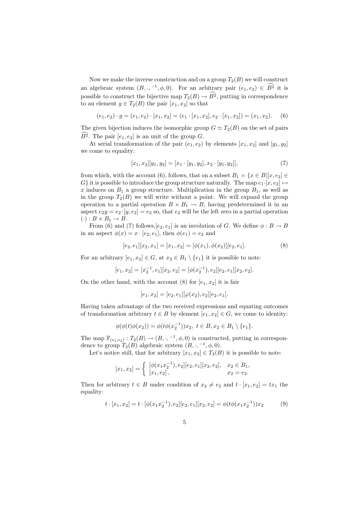Now we make the inverse construction and on a group  $T_2(B)$  we will construct an algebraic system  $(B, \cdot, -1, \phi, 0)$ . For an arbitrary pair  $(e_1, e_2) \in \widehat{B}^2$  it is possible to construct the bijective map  $T_2(B) \to \widehat{B}^2$ , putting in correspondence to an element  $q \in T_2(B)$  the pair  $[x_1, x_2]$  so that

$$
(e_1, e_2) \cdot g = (e_1, e_2) \cdot [x_1, x_2] = (e_1 \cdot [x_1, x_2], e_2 \cdot [x_1, x_2]) = (x_1, x_2). \quad (6)
$$

The given bijection induces the isomorphic group  $G \simeq T_2(B)$  on the set of pairs  $B^2$ . The pair  $[e_1, e_2]$  is an unit of the group G.

At serial transformation of the pair  $(e_1, e_2)$  by elements  $[x_1, x_2]$  and  $[y_1, y_2]$ we come to equality:

$$
[x_1, x_2][y_1, y_2] = [x_1 \cdot [y_1, y_2], x_2 \cdot [y_1, y_2]], \tag{7}
$$

from which, with the account (6), follows, that on a subset  $B_1 = \{x \in B | [x, e_2] \in$ G} it is possible to introduce the group structure naturally. The map  $e_1 \cdot [x, e_2] \mapsto$ x induces on  $B_1$  a group structure. Multiplication in the group  $B_1$ , as well as in the group  $T_2(B)$  we will write without a point. We will expand the group operation to a partial operation  $B \times B_1 \rightarrow B$ , having predetermined it in an aspect  $e_2y = e_2 \cdot [y, e_2] = e_2$  so, that  $e_2$  will be the left zero in a partial operation  $(\cdot) : B \times B_1 \rightarrow B.$ 

From (6) and (7) follows,  $[e_2, e_1]$  is an involution of G. We define  $\phi : B \to B$ in an aspect  $\phi(x) = x \cdot [e_2, e_1]$ , then  $\phi(e_1) = e_2$  and

$$
[e_2, e_1][x_2, x_1] = [x_1, x_2] = [\phi(x_1), \phi(x_2)][e_2, e_1].
$$
\n(8)

For an arbitrary  $[e_1, x_2] \in G$ , at  $x_2 \in B_1 \setminus \{e_1\}$  it is possible to note:

$$
[e_1, x_2] = [x_2^{-1}, e_1][x_2, e_2] = [\phi(x_2^{-1}), e_2][e_2, e_1][x_2, e_2].
$$

On the other hand, with the account (8) for  $[e_1, x_2]$  it is fair

$$
[e_1, x_2] = [e_2, e_1] [\varphi(x_2), e_2] [e_2, e_1].
$$

Having taken advantage of the two received expressions and equating outcomes of transformation arbitrary  $t \in B$  by element  $[e_1, x_2] \in G$ , we come to identity:

$$
\phi(\phi(t)\phi(x_2)) = \phi(t\phi(x_2^{-1}))x_2, \ t \in B, x_2 \in B_1 \setminus \{e_1\}.
$$

The map  $\mathbb{F}_{(e_1,e_2)}: T_2(B) \to (B, \cdot, -1, \phi, 0)$  is constructed, putting in correspondence to group  $T_2(B)$  algebraic system  $(B, \cdot, -1, \phi, 0)$ .

Let's notice still, that for arbitrary  $[x_1, x_2] \in T_2(B)$  it is possible to note:

$$
[x_1, x_2] = \begin{cases} [\phi(x_1 x_2^{-1}), e_2][e_2, e_1][x_2, e_2], & x_2 \in B_1, \\ [x_1, e_2], & x_2 = e_2. \end{cases}
$$

Then for arbitrary  $t \in B$  under condition of  $x_2 \neq e_2$  and  $t \cdot [x_1, e_2] = tx_1$  the equality:

$$
t \cdot [x_1, x_2] = t \cdot [\phi(x_1 x_2^{-1}), e_2][e_2, e_1][x_2, e_2] = \phi(t\phi(x_1 x_2^{-1}))x_2 \tag{9}
$$